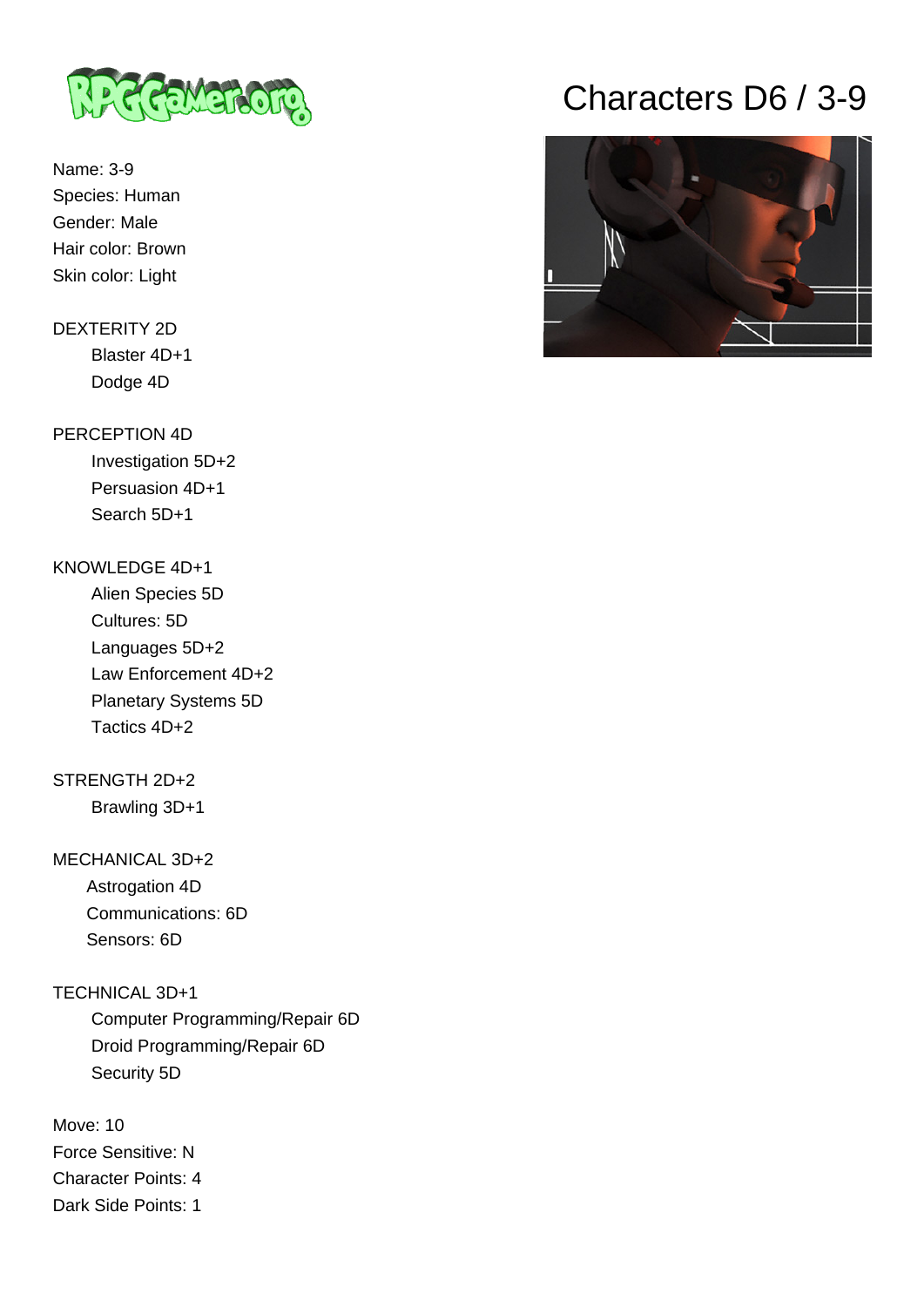

Name: 3-9 Species: Human Gender: Male Hair color: Brown Skin color: Light

## DEXTERITY 2D Blaster 4D+1 Dodge 4D

#### PERCEPTION 4D

 Investigation 5D+2 Persuasion 4D+1 Search 5D+1

#### KNOWLEDGE 4D+1

 Alien Species 5D Cultures: 5D Languages 5D+2 Law Enforcement 4D+2 Planetary Systems 5D Tactics 4D+2

## STRENGTH 2D+2

Brawling 3D+1

#### MECHANICAL 3D+2

 Astrogation 4D Communications: 6D Sensors: 6D

### TECHNICAL 3D+1

 Computer Programming/Repair 6D Droid Programming/Repair 6D Security 5D

Move: 10 Force Sensitive: N Character Points: 4 Dark Side Points: 1

# Characters D6 / 3-9

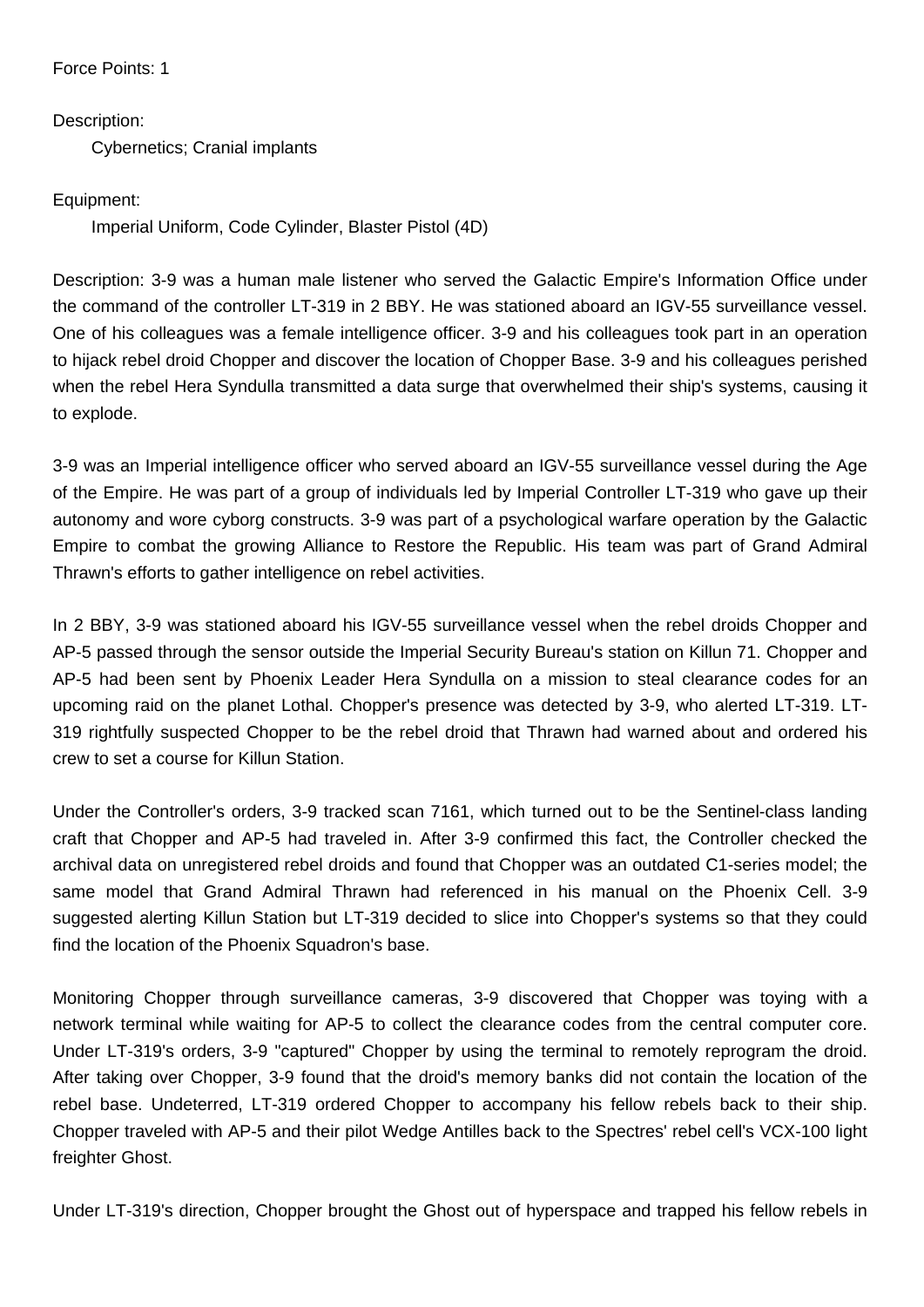Force Points: 1

Description:

Cybernetics; Cranial implants

Equipment:

Imperial Uniform, Code Cylinder, Blaster Pistol (4D)

Description: 3-9 was a human male listener who served the Galactic Empire's Information Office under the command of the controller LT-319 in 2 BBY. He was stationed aboard an IGV-55 surveillance vessel. One of his colleagues was a female intelligence officer. 3-9 and his colleagues took part in an operation to hijack rebel droid Chopper and discover the location of Chopper Base. 3-9 and his colleagues perished when the rebel Hera Syndulla transmitted a data surge that overwhelmed their ship's systems, causing it to explode.

3-9 was an Imperial intelligence officer who served aboard an IGV-55 surveillance vessel during the Age of the Empire. He was part of a group of individuals led by Imperial Controller LT-319 who gave up their autonomy and wore cyborg constructs. 3-9 was part of a psychological warfare operation by the Galactic Empire to combat the growing Alliance to Restore the Republic. His team was part of Grand Admiral Thrawn's efforts to gather intelligence on rebel activities.

In 2 BBY, 3-9 was stationed aboard his IGV-55 surveillance vessel when the rebel droids Chopper and AP-5 passed through the sensor outside the Imperial Security Bureau's station on Killun 71. Chopper and AP-5 had been sent by Phoenix Leader Hera Syndulla on a mission to steal clearance codes for an upcoming raid on the planet Lothal. Chopper's presence was detected by 3-9, who alerted LT-319. LT-319 rightfully suspected Chopper to be the rebel droid that Thrawn had warned about and ordered his crew to set a course for Killun Station.

Under the Controller's orders, 3-9 tracked scan 7161, which turned out to be the Sentinel-class landing craft that Chopper and AP-5 had traveled in. After 3-9 confirmed this fact, the Controller checked the archival data on unregistered rebel droids and found that Chopper was an outdated C1-series model; the same model that Grand Admiral Thrawn had referenced in his manual on the Phoenix Cell. 3-9 suggested alerting Killun Station but LT-319 decided to slice into Chopper's systems so that they could find the location of the Phoenix Squadron's base.

Monitoring Chopper through surveillance cameras, 3-9 discovered that Chopper was toying with a network terminal while waiting for AP-5 to collect the clearance codes from the central computer core. Under LT-319's orders, 3-9 "captured" Chopper by using the terminal to remotely reprogram the droid. After taking over Chopper, 3-9 found that the droid's memory banks did not contain the location of the rebel base. Undeterred, LT-319 ordered Chopper to accompany his fellow rebels back to their ship. Chopper traveled with AP-5 and their pilot Wedge Antilles back to the Spectres' rebel cell's VCX-100 light freighter Ghost.

Under LT-319's direction, Chopper brought the Ghost out of hyperspace and trapped his fellow rebels in